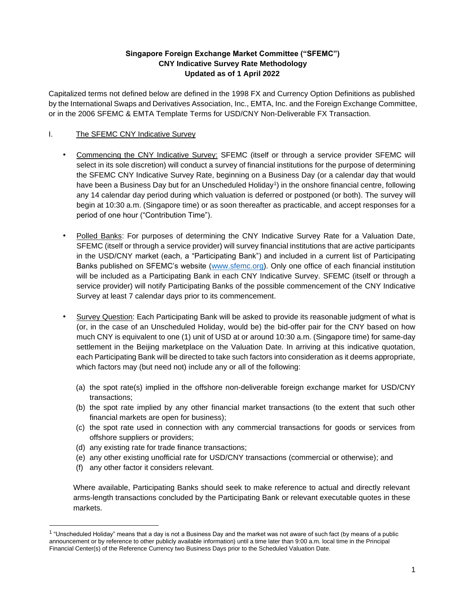## **Singapore Foreign Exchange Market Committee ("SFEMC") CNY Indicative Survey Rate Methodology Updated as of 1 April 2022**

Capitalized terms not defined below are defined in the 1998 FX and Currency Option Definitions as published by the International Swaps and Derivatives Association, Inc., EMTA, Inc. and the Foreign Exchange Committee, or in the 2006 SFEMC & EMTA Template Terms for USD/CNY Non-Deliverable FX Transaction.

# I. The SFEMC CNY Indicative Survey

- Commencing the CNY Indicative Survey: SFEMC (itself or through a service provider SFEMC will select in its sole discretion) will conduct a survey of financial institutions for the purpose of determining the SFEMC CNY Indicative Survey Rate, beginning on a Business Day (or a calendar day that would have been a Business Day but for an Unscheduled Holiday<sup>1</sup>) in the onshore financial centre, following any 14 calendar day period during which valuation is deferred or postponed (or both). The survey will begin at 10:30 a.m. (Singapore time) or as soon thereafter as practicable, and accept responses for a period of one hour ("Contribution Time").
- Polled Banks: For purposes of determining the CNY Indicative Survey Rate for a Valuation Date, SFEMC (itself or through a service provider) will survey financial institutions that are active participants in the USD/CNY market (each, a "Participating Bank") and included in a current list of Participating Banks published on SFEMC's website [\(www.sfemc.org\)](http://www.sfemc.org/). Only one office of each financial institution will be included as a Participating Bank in each CNY Indicative Survey. SFEMC (itself or through a service provider) will notify Participating Banks of the possible commencement of the CNY Indicative Survey at least 7 calendar days prior to its commencement.
- Survey Question: Each Participating Bank will be asked to provide its reasonable judgment of what is (or, in the case of an Unscheduled Holiday, would be) the bid-offer pair for the CNY based on how much CNY is equivalent to one (1) unit of USD at or around 10:30 a.m. (Singapore time) for same-day settlement in the Beijing marketplace on the Valuation Date. In arriving at this indicative quotation, each Participating Bank will be directed to take such factors into consideration as it deems appropriate, which factors may (but need not) include any or all of the following:
	- (a) the spot rate(s) implied in the offshore non-deliverable foreign exchange market for USD/CNY transactions;
	- (b) the spot rate implied by any other financial market transactions (to the extent that such other financial markets are open for business);
	- (c) the spot rate used in connection with any commercial transactions for goods or services from offshore suppliers or providers;
	- (d) any existing rate for trade finance transactions;
	- (e) any other existing unofficial rate for USD/CNY transactions (commercial or otherwise); and
	- (f) any other factor it considers relevant.

Where available, Participating Banks should seek to make reference to actual and directly relevant arms-length transactions concluded by the Participating Bank or relevant executable quotes in these markets.

<sup>&</sup>lt;sup>1</sup> "Unscheduled Holiday" means that a day is not a Business Day and the market was not aware of such fact (by means of a public announcement or by reference to other publicly available information) until a time later than 9:00 a.m. local time in the Principal Financial Center(s) of the Reference Currency two Business Days prior to the Scheduled Valuation Date.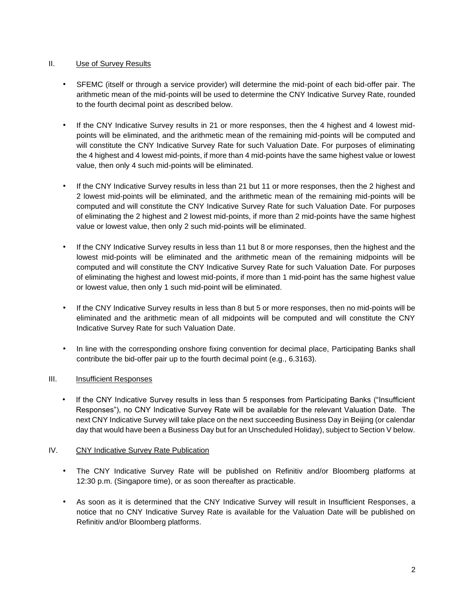### II. Use of Survey Results

- SFEMC (itself or through a service provider) will determine the mid-point of each bid-offer pair. The arithmetic mean of the mid-points will be used to determine the CNY Indicative Survey Rate, rounded to the fourth decimal point as described below.
- If the CNY Indicative Survey results in 21 or more responses, then the 4 highest and 4 lowest midpoints will be eliminated, and the arithmetic mean of the remaining mid-points will be computed and will constitute the CNY Indicative Survey Rate for such Valuation Date. For purposes of eliminating the 4 highest and 4 lowest mid-points, if more than 4 mid-points have the same highest value or lowest value, then only 4 such mid-points will be eliminated.
- If the CNY Indicative Survey results in less than 21 but 11 or more responses, then the 2 highest and 2 lowest mid-points will be eliminated, and the arithmetic mean of the remaining mid-points will be computed and will constitute the CNY Indicative Survey Rate for such Valuation Date. For purposes of eliminating the 2 highest and 2 lowest mid-points, if more than 2 mid-points have the same highest value or lowest value, then only 2 such mid-points will be eliminated.
- If the CNY Indicative Survey results in less than 11 but 8 or more responses, then the highest and the lowest mid-points will be eliminated and the arithmetic mean of the remaining midpoints will be computed and will constitute the CNY Indicative Survey Rate for such Valuation Date. For purposes of eliminating the highest and lowest mid-points, if more than 1 mid-point has the same highest value or lowest value, then only 1 such mid-point will be eliminated.
- If the CNY Indicative Survey results in less than 8 but 5 or more responses, then no mid-points will be eliminated and the arithmetic mean of all midpoints will be computed and will constitute the CNY Indicative Survey Rate for such Valuation Date.
- In line with the corresponding onshore fixing convention for decimal place, Participating Banks shall contribute the bid-offer pair up to the fourth decimal point (e.g., 6.3163).

# III. Insufficient Responses

If the CNY Indicative Survey results in less than 5 responses from Participating Banks ("Insufficient Responses"), no CNY Indicative Survey Rate will be available for the relevant Valuation Date. The next CNY Indicative Survey will take place on the next succeeding Business Day in Beijing (or calendar day that would have been a Business Day but for an Unscheduled Holiday), subject to Section V below.

#### IV. CNY Indicative Survey Rate Publication

- The CNY Indicative Survey Rate will be published on Refinitiv and/or Bloomberg platforms at 12:30 p.m. (Singapore time), or as soon thereafter as practicable.
- As soon as it is determined that the CNY Indicative Survey will result in Insufficient Responses, a notice that no CNY Indicative Survey Rate is available for the Valuation Date will be published on Refinitiv and/or Bloomberg platforms.